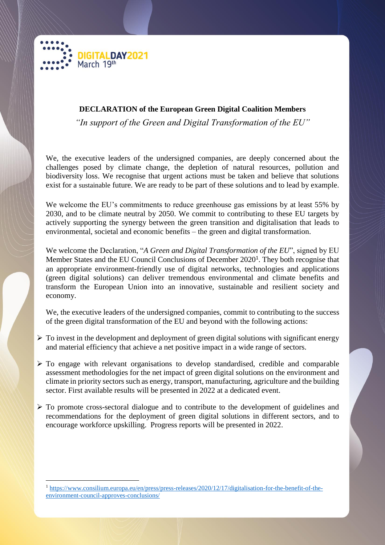

 $\overline{a}$ 

## **DECLARATION of the European Green Digital Coalition Members**

*"In support of the Green and Digital Transformation of the EU"*

We, the executive leaders of the undersigned companies, are deeply concerned about the challenges posed by climate change, the depletion of natural resources, pollution and biodiversity loss. We recognise that urgent actions must be taken and believe that solutions exist for a sustainable future. We are ready to be part of these solutions and to lead by example.

We welcome the EU's commitments to reduce greenhouse gas emissions by at least 55% by 2030, and to be climate neutral by 2050. We commit to contributing to these EU targets by actively supporting the synergy between the green transition and digitalisation that leads to environmental, societal and economic benefits – the green and digital transformation.

We welcome the Declaration, "*A Green and Digital Transformation of the EU*", signed by EU Member States and the EU Council Conclusions of December 2020<sup>1</sup>. They both recognise that an appropriate environment-friendly use of digital networks, technologies and applications (green digital solutions) can deliver tremendous environmental and climate benefits and transform the European Union into an innovative, sustainable and resilient society and economy.

We, the executive leaders of the undersigned companies, commit to contributing to the success of the green digital transformation of the EU and beyond with the following actions:

- $\triangleright$  To invest in the development and deployment of green digital solutions with significant energy and material efficiency that achieve a net positive impact in a wide range of sectors.
- $\triangleright$  To engage with relevant organisations to develop standardised, credible and comparable assessment methodologies for the net impact of green digital solutions on the environment and climate in priority sectors such as energy, transport, manufacturing, agriculture and the building sector. First available results will be presented in 2022 at a dedicated event.
- $\triangleright$  To promote cross-sectoral dialogue and to contribute to the development of guidelines and recommendations for the deployment of green digital solutions in different sectors, and to encourage workforce upskilling. Progress reports will be presented in 2022.

<sup>1</sup> [https://www.consilium.europa.eu/en/press/press-releases/2020/12/17/digitalisation-for-the-benefit-of-the](https://www.consilium.europa.eu/en/press/press-releases/2020/12/17/digitalisation-for-the-benefit-of-the-environment-council-approves-conclusions/)[environment-council-approves-conclusions/](https://www.consilium.europa.eu/en/press/press-releases/2020/12/17/digitalisation-for-the-benefit-of-the-environment-council-approves-conclusions/)